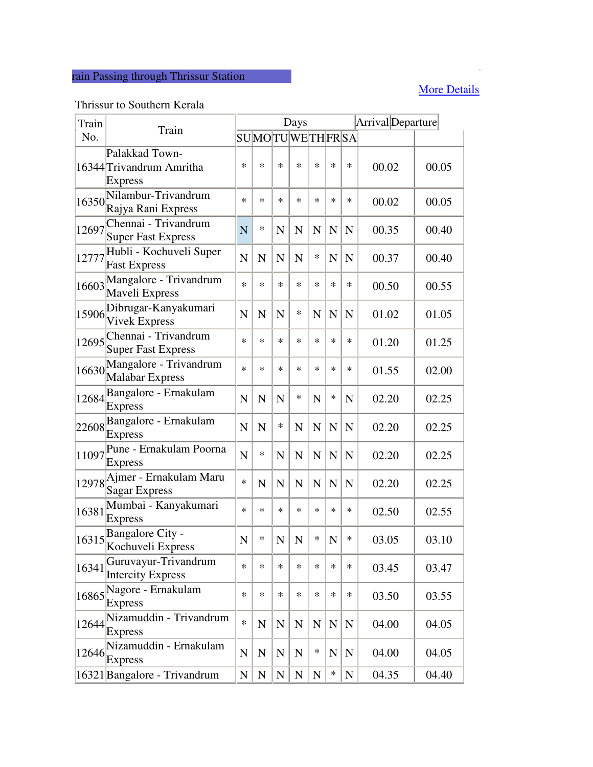## rain Passing through Thrissur Station

## **More Details More Details**

## Thrissur to Southern Kerala

| Train |                                                                                              |                | Arrival Departure |                |             |             |             |             |       |       |
|-------|----------------------------------------------------------------------------------------------|----------------|-------------------|----------------|-------------|-------------|-------------|-------------|-------|-------|
| No.   | Train                                                                                        |                | SUMOTUWETHFRSA    |                |             |             |             |             |       |       |
|       | Palakkad Town-<br>16344 Trivandrum Amritha<br><b>Express</b>                                 | $\ast$         | $\ast$            | $\ast$         | $\ast$      | $\ast$      | $\ast$      | $\ast$      | 00.02 | 00.05 |
| 16350 | Nilambur-Trivandrum<br>Rajya Rani Express                                                    | $\ast$         | $\ast$            | $\ast$         | $\ast$      | $\ast$      | $\ast$      | $\ast$      | 00.02 | 00.05 |
| 12697 | Chennai - Trivandrum<br><b>Super Fast Express</b>                                            | N              | *                 | N              | N           | $\mathbf N$ | N           | $\mathbf N$ | 00.35 | 00.40 |
| 12777 | Hubli - Kochuveli Super<br><b>Fast Express</b>                                               | $\mathbf N$    | N                 | $\mathbf N$    | $\mathbf N$ | ∗           | $\mathbf N$ | $\mathbf N$ | 00.37 | 00.40 |
| 16603 | Mangalore - Trivandrum<br>Maveli Express                                                     | $\ast$         | $\ast$            | $\ast$         | *           | ∗           | $\ast$      | *           | 00.50 | 00.55 |
| 15906 | Dibrugar-Kanyakumari<br><b>Vivek Express</b>                                                 | N              | N                 | N              | ∗           | $\mathbf N$ | $\mathbf N$ | N           | 01.02 | 01.05 |
| 12695 | Chennai - Trivandrum<br><b>Super Fast Express</b>                                            | $\ast$         | $\ast$            | $\ast$         | $\ast$      | $\ast$      | $\ast$      | *           | 01.20 | 01.25 |
| 16630 | Mangalore - Trivandrum<br>Malabar Express                                                    | $\ast$         | $\ast$            | $\ast$         | $\ast$      | $\ast$      | $\ast$      | *           | 01.55 | 02.00 |
| 12684 | Bangalore - Ernakulam<br><b>Express</b>                                                      | N              | N                 | N              | *           | $\mathbf N$ | *           | $\mathbf N$ | 02.20 | 02.25 |
|       | 22608 Bangalore - Ernakulam<br><b>Express</b>                                                | $\mathbf N$    | $\mathbf N$       | $\ast$         | N           | $\mathbf N$ | $\mathbf N$ | $\mathbf N$ | 02.20 | 02.25 |
| 11097 | Pune - Ernakulam Poorna<br><b>Express</b>                                                    | N              | $\ast$            | N              | N           | $\mathbf N$ | $\mathbf N$ | $\mathbf N$ | 02.20 | 02.25 |
|       | 12978 Ajmer - Ernakulam Maru<br><b>Sagar Express</b>                                         | $\ast$         | N                 | $\mathbf N$    | $\mathbf N$ | N           | N           | $\mathbf N$ | 02.20 | 02.25 |
| 16381 | Mumbai - Kanyakumari<br><b>Express</b>                                                       | $\ast$         | $\ast$            | $\ast$         | $\ast$      | $\ast$      | $\ast$      | *           | 02.50 | 02.55 |
|       | $16315$ $\sqrt{\frac{\text{Bangalore City -}}{\text{Bangalore City -}}$<br>Kochuveli Express | $\overline{N}$ | $\ast$            | $\overline{N}$ | N           | ∗           | $\mathbf N$ | ∗           | 03.05 | 03.10 |
| 16341 | Guruvayur-Trivandrum<br><b>Intercity Express</b>                                             | $\ast$         | $\ast$            | $\ast$         | $\ast$      | $\ast$      | $\ast$      | $\ast$      | 03.45 | 03.47 |
| 16865 | Nagore - Ernakulam<br>Express                                                                | $\ast$         | $\ast$            | $\ast$         | $\ast$      | *           | $\ast$      | *           | 03.50 | 03.55 |
|       | 12644 Nizamuddin - Trivandrum<br><b>Express</b>                                              | $\ast$         | $\mathbf N$       | ${\bf N}$      | ${\bf N}$   | $\mathbf N$ | ${\bf N}$   | ${\bf N}$   | 04.00 | 04.05 |
| 12646 | Nizamuddin - Ernakulam<br>Express                                                            | ${\bf N}$      | ${\bf N}$         | $\mathbf N$    | $\mathbf N$ | $\ast$      | N           | $\mathbf N$ | 04.00 | 04.05 |
|       | 16321 Bangalore - Trivandrum                                                                 | N              | $\mathbf N$       | N              | $\mathbf N$ | $\mathbf N$ | ∗           | N           | 04.35 | 04.40 |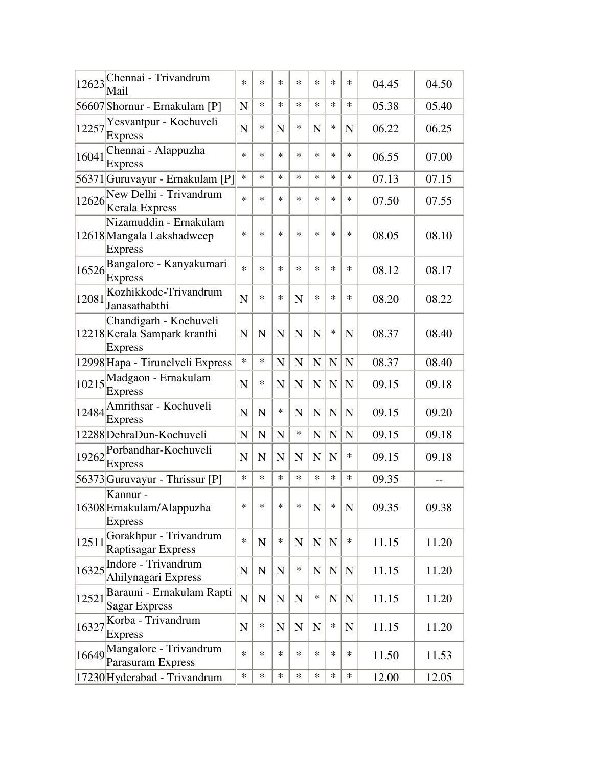|       | 12623 Chennai - Trivandrum<br>Mail                                | $\ast$      | $\ast$      | $\ast$      | *           | $\ast$      | $\ast$      | *           | 04.45 | 04.50 |
|-------|-------------------------------------------------------------------|-------------|-------------|-------------|-------------|-------------|-------------|-------------|-------|-------|
|       | 56607 Shornur - Ernakulam [P]                                     | $\mathbf N$ | $\ast$      | $\ast$      | *           | $\ast$      | $\ast$      | $\ast$      | 05.38 | 05.40 |
| 12257 | Yesvantpur - Kochuveli<br><b>Express</b>                          | N           | ∗           | N           | *           | N           | ∗           | $\mathbf N$ | 06.22 | 06.25 |
| 16041 | Chennai - Alappuzha<br><b>Express</b>                             | $\ast$      | $\ast$      | $\ast$      | *           | $\ast$      | $\ast$      | $\ast$      | 06.55 | 07.00 |
|       | 56371 Guruvayur - Ernakulam [P]                                   | $\ast$      | $\ast$      | $\ast$      | *           | $\ast$      | $\ast$      | $\ast$      | 07.13 | 07.15 |
| 12626 | New Delhi - Trivandrum<br>Kerala Express                          | $\ast$      | $\ast$      | $\ast$      | *           | $\ast$      | $\ast$      | $\ast$      | 07.50 | 07.55 |
|       | Nizamuddin - Ernakulam<br>12618 Mangala Lakshadweep<br>Express    | $\ast$      | $\ast$      | $\ast$      | *           | $\ast$      | $\ast$      | $\ast$      | 08.05 | 08.10 |
| 16526 | Bangalore - Kanyakumari<br><b>Express</b>                         | $\ast$      | $\ast$      | $\ast$      | *           | $\ast$      | $\ast$      | $\ast$      | 08.12 | 08.17 |
| 12081 | Kozhikkode-Trivandrum<br>Janasathabthi                            | N           | $\ast$      | $\ast$      | N           | $\ast$      | $\ast$      | $\ast$      | 08.20 | 08.22 |
|       | Chandigarh - Kochuveli<br>12218 Kerala Sampark kranthi<br>Express | N           | $\mathbf N$ | N           | N           | $\mathbf N$ | ∗           | N           | 08.37 | 08.40 |
|       | 12998 Hapa - Tirunelveli Express                                  | $\ast$      | $\ast$      | N           | N           | $\mathbf N$ | $\mathbf N$ | $\mathbf N$ | 08.37 | 08.40 |
|       | $10215$ Madgaon - Ernakulam<br><b>Express</b>                     | N           | ∗           | N           | N           | $\mathbf N$ | $\mathbf N$ | $\mathbf N$ | 09.15 | 09.18 |
|       | 12484 Amrithsar - Kochuveli<br>Express                            | N           | N           | ∗           | N           | $\mathbf N$ | $\mathbf N$ | $\mathbf N$ | 09.15 | 09.20 |
|       | 12288 DehraDun-Kochuveli                                          | $\mathbf N$ | $\mathbf N$ | $\mathbf N$ | *           | $\mathbf N$ | ${\bf N}$   | $\mathbf N$ | 09.15 | 09.18 |
|       | 19262 Porbandhar-Kochuveli<br>Express                             | $\mathbf N$ | $\mathbf N$ | $\mathbf N$ | N           | N           | $\mathbf N$ | ∗           | 09.15 | 09.18 |
|       | 56373 Guruvayur - Thrissur [P]                                    | $\ast$      | $\ast$      | $\ast$      | $\ast$      | $\ast$      | $\ast$      | $\ast$      | 09.35 |       |
|       | Kannur -<br>16308 Ernakulam/Alappuzha<br><b>Express</b>           | $\ast$      | $\ast$      | $\ast$      | ∗           | $\mathbf N$ | ∗           | N           | 09.35 | 09.38 |
| 12511 | Gorakhpur - Trivandrum<br>Raptisagar Express                      | $\ast$      | ${\bf N}$   | $\ast$      | $\mathbf N$ | ${\bf N}$   | $\mathbf N$ | $\ast$      | 11.15 | 11.20 |
| 16325 | Indore - Trivandrum<br>Ahilynagari Express                        | ${\bf N}$   | $\mathbf N$ | $\mathbf N$ | $\ast$      | ${\bf N}$   | $\mathbf N$ | $\mathbf N$ | 11.15 | 11.20 |
| 12521 | Barauni - Ernakulam Rapti<br>Sagar Express                        | ${\bf N}$   | ${\bf N}$   | ${\bf N}$   | $\mathbf N$ | $\ast$      | ${\bf N}$   | ${\bf N}$   | 11.15 | 11.20 |
| 16327 | Korba - Trivandrum<br><b>Express</b>                              | $\mathbf N$ | $\ast$      | $\mathbf N$ | $\mathbf N$ | $\mathbf N$ | ∗           | $\mathbf N$ | 11.15 | 11.20 |
|       | 16649 Mangalore - Trivandrum<br>Parasuram Express                 | $\ast$      | $\ast$      | $\ast$      | *           | $\ast$      | $\ast$      | $\ast$      | 11.50 | 11.53 |
|       | 17230 Hyderabad - Trivandrum                                      | $\ast$      | $\ast$      | $\ast$      | *           | $\ast$      | $\ast$      | $\ast$      | 12.00 | 12.05 |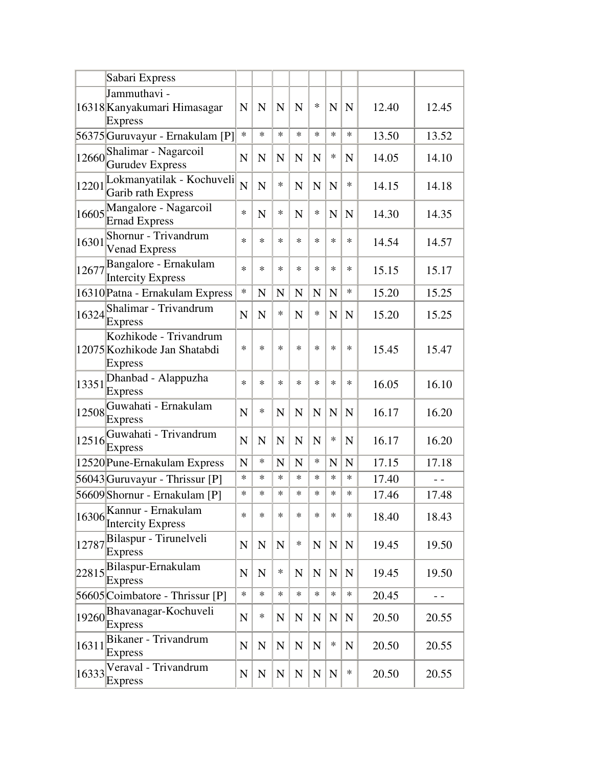|       | Sabari Express                                                           |                |             |             |             |             |             |             |       |       |
|-------|--------------------------------------------------------------------------|----------------|-------------|-------------|-------------|-------------|-------------|-------------|-------|-------|
|       | Jammuthavi -<br>16318 Kanyakumari Himasagar<br><b>Express</b>            | $\mathbf N$    | N           | N           | N           | $\ast$      | N           | $\mathbf N$ | 12.40 | 12.45 |
|       | 56375 Guruvayur - Ernakulam [P]                                          | $\ast$         | $\ast$      | $\ast$      | $\ast$      | $\ast$      | $\ast$      | $\ast$      | 13.50 | 13.52 |
| 12660 | Shalimar - Nagarcoil<br>Gurudev Express                                  | $\mathbf N$    | $\mathbf N$ | N           | N           | N           | *           | N           | 14.05 | 14.10 |
| 12201 | Lokmanyatilak - Kochuveli<br>Garib rath Express                          | $\overline{N}$ | $\mathbf N$ | $\ast$      | N           | N           | $\mathbf N$ | *           | 14.15 | 14.18 |
|       | 16605 Mangalore - Nagarcoil<br>Ernad Express                             | $\ast$         | N           | $\ast$      | $\mathbf N$ | $\ast$      | $\mathbf N$ | $\mathbf N$ | 14.30 | 14.35 |
| 16301 | Shornur - Trivandrum<br><b>Venad Express</b>                             | $\ast$         | $\ast$      | $\ast$      | $\ast$      | $\ast$      | $\ast$      | *           | 14.54 | 14.57 |
|       | 12677 Bangalore - Ernakulam<br><b>Intercity Express</b>                  | $\ast$         | $\ast$      | $\ast$      | $\ast$      | $\ast$      | *           | *           | 15.15 | 15.17 |
|       | 16310 Patna - Ernakulam Express                                          | $\ast$         | N           | N           | N           | N           | N           | *           | 15.20 | 15.25 |
|       | 16324 Shalimar - Trivandrum<br><b>Express</b>                            | N              | N           | *           | $\mathbf N$ | *           | N           | $\mathbf N$ | 15.20 | 15.25 |
|       | Kozhikode - Trivandrum<br>12075 Kozhikode Jan Shatabdi<br><b>Express</b> | $\ast$         | $\ast$      | $\ast$      | $\ast$      | $\ast$      | $\ast$      | *           | 15.45 | 15.47 |
| 13351 | Dhanbad - Alappuzha<br><b>Express</b>                                    | $\ast$         | $\ast$      | $\ast$      | $\ast$      | $\ast$      | $\ast$      | *           | 16.05 | 16.10 |
| 12508 | Guwahati - Ernakulam<br><b>Express</b>                                   | $\mathbf N$    | *           | $\mathbf N$ | $\mathbf N$ | $\mathbf N$ | $\mathbf N$ | $\mathbf N$ | 16.17 | 16.20 |
| 12516 | Guwahati - Trivandrum<br><b>Express</b>                                  | N              | N           | N           | $\mathbf N$ | $\mathbf N$ | *           | $\mathbf N$ | 16.17 | 16.20 |
|       | 12520 Pune-Ernakulam Express                                             | N              | $\ast$      | N           | N           | *           | N           | $\mathbf N$ | 17.15 | 17.18 |
|       | 56043 Guruvayur - Thrissur [P]                                           | $\ast$         | $\ast$      | $\ast$      | $\ast$      | $\ast$      | *           | *           | 17.40 |       |
|       | 56609 Shornur - Ernakulam [P]                                            | $\ast$         | $\ast$      | $\ast$      | $\ast$      | $\ast$      | $\ast$      | *           | 17.46 | 17.48 |
| 16306 | Kannur - Ernakulam<br><b>Intercity Express</b>                           | $\ast$         | $\ast$      | $\ast$      | $\ast$      | *           | *           | *           | 18.40 | 18.43 |
| 12787 | Bilaspur - Tirunelveli<br><b>Express</b>                                 | ${\bf N}$      | ${\bf N}$   | ${\bf N}$   | $\ast$      | ${\bf N}$   | $\mathbf N$ | $\mathbf N$ | 19.45 | 19.50 |
| 22815 | Bilaspur-Ernakulam<br><b>Express</b>                                     | $\mathbf N$    | $\mathbf N$ | $\ast$      | $\mathbf N$ | $\mathbf N$ | ${\bf N}$   | $\mathbf N$ | 19.45 | 19.50 |
|       | 56605 Coimbatore - Thrissur [P]                                          | $\ast$         | $\ast$      | $\ast$      | $\ast$      | $\ast$      | $\ast$      | $\ast$      | 20.45 |       |
| 19260 | Bhavanagar-Kochuveli<br>Express                                          | ${\bf N}$      | *           | $\mathbf N$ | N           | $\mathbf N$ | $\mathbf N$ | $\mathbf N$ | 20.50 | 20.55 |
| 16311 | Bikaner - Trivandrum<br><b>Express</b>                                   | ${\bf N}$      | ${\bf N}$   | $\mathbf N$ | $\mathbf N$ | $\mathbf N$ | *           | $\mathbf N$ | 20.50 | 20.55 |
| 16333 | Veraval - Trivandrum<br><b>Express</b>                                   | ${\bf N}$      | ${\bf N}$   | ${\bf N}$   | ${\bf N}$   | ${\bf N}$   | ${\bf N}$   | $\ast$      | 20.50 | 20.55 |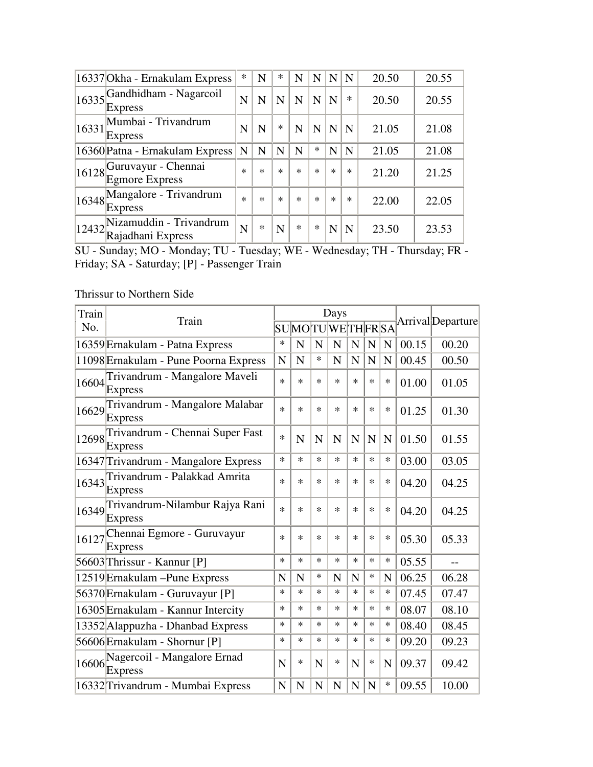|       | 16337 Okha - Ernakulam Express                | ∗           | N           | $\ast$      | N           | N      | N      | $\mathbf N$ | 20.50 | 20.55 |
|-------|-----------------------------------------------|-------------|-------------|-------------|-------------|--------|--------|-------------|-------|-------|
|       | $16335$ Gandhidham - Nagarcoil<br>Express     | N           | N           | N           | N           | N      | N      | $\ast$      | 20.50 | 20.55 |
| 16331 | Mumbai - Trivandrum<br>Express                | N           | N           | $\ast$      | $\mathbf N$ | N      | N      | N           | 21.05 | 21.08 |
|       | 16360 Patna - Ernakulam Express               | $\mathbf N$ | $\mathbf N$ | $\mathbf N$ | $\mathbf N$ | $\ast$ | N      | N           | 21.05 | 21.08 |
|       | $16128$ Guruvayur - Chennai<br>Egmore Express | $\ast$      | $\ast$      | $\ast$      | $\ast$      | $\ast$ | $\ast$ | $\ast$      | 21.20 | 21.25 |
|       | 16348 Mangalore - Trivandrum<br>Express       | $\ast$      | $\ast$      | $\ast$      | $\ast$      | $\ast$ | $\ast$ | $\ast$      | 22.00 | 22.05 |
| 12432 | Nizamuddin - Trivandrum<br>Rajadhani Express  | N           | *           | N           | $\ast$      | $\ast$ | N      | N           | 23.50 | 23.53 |

SU - Sunday; MO - Monday; TU - Tuesday; WE - Wednesday; TH - Thursday; FR - Friday; SA - Saturday; [P] - Passenger Train

## Thrissur to Northern Side

| Train |                                                        |             |             |             | Days           |             | Arrival Departure |             |       |       |
|-------|--------------------------------------------------------|-------------|-------------|-------------|----------------|-------------|-------------------|-------------|-------|-------|
| No.   | Train                                                  |             |             |             | SUMOTUWETHFRSA |             |                   |             |       |       |
|       | 16359 Ernakulam - Patna Express                        | ∗           | N           | N           | N              | $\mathbf N$ | $\mathbf N$       | $\mathbf N$ | 00.15 | 00.20 |
|       | 11098 Ernakulam - Pune Poorna Express                  | N           | N           | $\ast$      | N              | N           | $\mathbf N$       | $\mathbf N$ | 00.45 | 00.50 |
| 16604 | Trivandrum - Mangalore Maveli<br><b>Express</b>        | $\ast$      | $\ast$      | $\ast$      | $\ast$         | $\ast$      | $\ast$            | $\ast$      | 01.00 | 01.05 |
|       | 16629 Trivandrum - Mangalore Malabar<br><b>Express</b> | $\ast$      | $\ast$      | $\ast$      | $\ast$         | $\ast$      | *                 | ∗           | 01.25 | 01.30 |
| 12698 | Trivandrum - Chennai Super Fast<br><b>Express</b>      | $\ast$      | N           | N           | N              | N           | N                 | N           | 01.50 | 01.55 |
|       | 16347 Trivandrum - Mangalore Express                   | $\ast$      | $\ast$      | $\ast$      | $\ast$         | $\ast$      | $\ast$            | *           | 03.00 | 03.05 |
|       | 16343 Trivandrum - Palakkad Amrita<br><b>Express</b>   | $\ast$      | $\ast$      | $\ast$      | $\ast$         | $\ast$      | $\ast$            | $\ast$      | 04.20 | 04.25 |
|       | 16349 Trivandrum-Nilambur Rajya Rani<br>Express        | $\ast$      | $\ast$      | $\ast$      | $\ast$         | $\ast$      | $\ast$            | $\ast$      | 04.20 | 04.25 |
| 16127 | Chennai Egmore - Guruvayur<br><b>Express</b>           | $\ast$      | $\ast$      | $\ast$      | $\ast$         | $\ast$      | $\ast$            | $\ast$      | 05.30 | 05.33 |
|       | 56603 Thrissur - Kannur [P]                            | $\ast$      | $\ast$      | $\ast$      | $\ast$         | $\ast$      | $\ast$            | $\ast$      | 05.55 |       |
|       | 12519 Ernakulam – Pune Express                         | N           | N           | $\ast$      | N              | N           | $\ast$            | N           | 06.25 | 06.28 |
|       | 56370 Ernakulam - Guruvayur [P]                        | $\ast$      | $\ast$      | $\ast$      | $\ast$         | $\ast$      | $\ast$            | $\ast$      | 07.45 | 07.47 |
|       | 16305 Ernakulam - Kannur Intercity                     | $\ast$      | $\ast$      | $\ast$      | $\ast$         | $\ast$      | *                 | $\ast$      | 08.07 | 08.10 |
|       | 13352 Alappuzha - Dhanbad Express                      | $\ast$      | $\ast$      | $\ast$      | $\ast$         | $\ast$      | $\ast$            | $\ast$      | 08.40 | 08.45 |
|       | 56606 Ernakulam - Shornur [P]                          | $\ast$      | $\ast$      | $\ast$      | $\ast$         | $\ast$      | $\ast$            | $\ast$      | 09.20 | 09.23 |
| 16606 | Nagercoil - Mangalore Ernad<br><b>Express</b>          | N           | *           | N           | ∗              | $\mathbf N$ | $\ast$            | $\mathbf N$ | 09.37 | 09.42 |
|       | 16332 Trivandrum - Mumbai Express                      | $\mathbf N$ | $\mathbf N$ | $\mathbf N$ | N              | $\mathbf N$ | $\mathbf N$       | $\ast$      | 09.55 | 10.00 |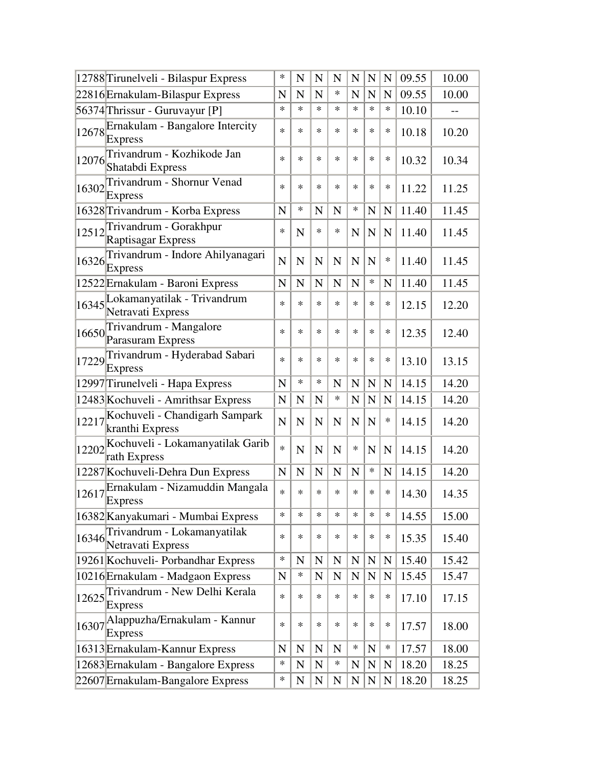|       | 12788 Tirunelveli - Bilaspur Express                      | $\ast$      | N           | N           | N           | $\mathbf N$ | $\mathbf N$ | $\mathbf N$ | 09.55 | 10.00 |
|-------|-----------------------------------------------------------|-------------|-------------|-------------|-------------|-------------|-------------|-------------|-------|-------|
|       | 22816 Ernakulam-Bilaspur Express                          | N           | N           | N           | ∗           | N           | N           | N           | 09.55 | 10.00 |
|       | 56374 Thrissur - Guruvayur [P]                            | $\ast$      | $\ast$      | $\ast$      | $\ast$      | $\ast$      | $\ast$      | $\ast$      | 10.10 |       |
|       | 12678 Ernakulam - Bangalore Intercity<br><b>Express</b>   | $\ast$      | $\ast$      | $\ast$      | $\ast$      | $\ast$      | $\ast$      | *           | 10.18 | 10.20 |
|       | 12076 Trivandrum - Kozhikode Jan<br>Shatabdi Express      | $\ast$      | $\ast$      | $\ast$      | $\ast$      | $\ast$      | *           | $\ast$      | 10.32 | 10.34 |
|       | 16302 Trivandrum - Shornur Venad<br><b>Express</b>        | $\ast$      | $\ast$      | $\ast$      | *           | *           | *           | ∗           | 11.22 | 11.25 |
|       | 16328 Trivandrum - Korba Express                          | N           | $\ast$      | N           | N           | *           | N           | $\mathbf N$ | 11.40 | 11.45 |
|       | 12512 Trivandrum - Gorakhpur<br><b>Raptisagar Express</b> | $\ast$      | N           | $\ast$      | ∗           | N           | $\mathbf N$ | $\mathbf N$ | 11.40 | 11.45 |
| 16326 | Trivandrum - Indore Ahilyanagari<br>Express               | $\mathbf N$ | N           | N           | $\mathbf N$ | N           | $\mathbf N$ | $\ast$      | 11.40 | 11.45 |
|       | 12522 Ernakulam - Baroni Express                          | N           | N           | N           | N           | N           | $\ast$      | N           | 11.40 | 11.45 |
|       | 16345 Lokamanyatilak - Trivandrum<br>Netravati Express    | $\ast$      | $\ast$      | $\ast$      | $\ast$      | $\ast$      | $\ast$      | *           | 12.15 | 12.20 |
| 16650 | Trivandrum - Mangalore<br>Parasuram Express               | $\ast$      | $\ast$      | $\ast$      | *           | *           | *           | $\ast$      | 12.35 | 12.40 |
|       | 17229 Trivandrum - Hyderabad Sabari<br><b>Express</b>     | $\ast$      | $\ast$      | $\ast$      | $\ast$      | $\ast$      | *           | $\ast$      | 13.10 | 13.15 |
|       | 12997 Tirunelveli - Hapa Express                          | $\mathbf N$ | $\ast$      | $\ast$      | N           | $\mathbf N$ | $\mathbf N$ | $\mathbf N$ | 14.15 | 14.20 |
|       | 12483 Kochuveli - Amrithsar Express                       | N           | N           | N           | *           | N           | N           | $\mathbf N$ | 14.15 | 14.20 |
| 12217 | Kochuveli - Chandigarh Sampark<br>kranthi Express         | $\mathbf N$ | N           | N           | $\mathbf N$ | N           | N           | ∗           | 14.15 | 14.20 |
| 12202 | Kochuveli - Lokamanyatilak Garib<br>rath Express          | $\ast$      | $\mathbf N$ | $\mathbf N$ | $\mathbf N$ | $\ast$      | $\mathbf N$ | $\mathbf N$ | 14.15 | 14.20 |
|       | 12287 Kochuveli-Dehra Dun Express                         | $\mathbf N$ | N           | N           | $\mathbf N$ | N           | $\ast$      | $\mathbf N$ | 14.15 | 14.20 |
| 12617 | Ernakulam - Nizamuddin Mangala<br>Express                 | $\ast$      | $\ast$      | $\ast$      | $\ast$      | *           | *           | $\ast$      | 14.30 | 14.35 |
|       | 16382 Kanyakumari - Mumbai Express                        | ∗           | $\ast$      | $\ast$      | $\ast$      | $\ast$      | $\ast$      | ∗           | 14.55 | 15.00 |
|       | 16346 Trivandrum - Lokamanyatilak<br>Netravati Express    | ∗           | *           | ∗           | ∗           | *           | *           | *           | 15.35 | 15.40 |
|       | 19261 Kochuveli- Porbandhar Express                       | ∗           | $\mathbf N$ | $\mathbf N$ | ${\bf N}$   | ${\bf N}$   | ${\bf N}$   | ${\bf N}$   | 15.40 | 15.42 |
|       | 10216 Ernakulam - Madgaon Express                         | N           | ∗           | N           | $\mathbf N$ | $\mathbf N$ | $\mathbf N$ | N           | 15.45 | 15.47 |
|       | 12625 Trivandrum - New Delhi Kerala<br>Express            | $\ast$      | *           | $\ast$      | ∗           | $\ast$      | $\ast$      | $\ast$      | 17.10 | 17.15 |
| 16307 | Alappuzha/Ernakulam - Kannur<br><b>Express</b>            | *           | *           | *           | *           | *           | *           | ∗           | 17.57 | 18.00 |
|       | 16313 Ernakulam-Kannur Express                            | $\mathbf N$ | N           | $\mathbf N$ | N           | *           | ${\bf N}$   | $\ast$      | 17.57 | 18.00 |
|       | 12683 Ernakulam - Bangalore Express                       | ∗           | ${\bf N}$   | $\mathbf N$ | ∗           | ${\bf N}$   | ${\bf N}$   | $\mathbf N$ | 18.20 | 18.25 |
|       | 22607 Ernakulam-Bangalore Express                         | ∗           | $\mathbf N$ | N           | $\mathbf N$ | $\mathbf N$ | N           | $\mathbf N$ | 18.20 | 18.25 |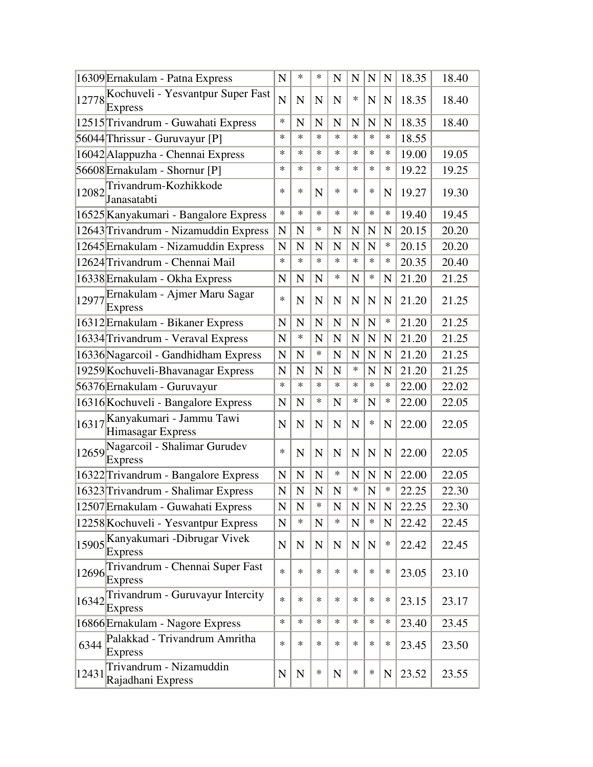|       | 16309 Ernakulam - Patna Express                                       | N              | $\ast$             | $\ast$      | N              | N              | $\mathbf N$    | $\mathbf N$ | 18.35 | 18.40 |
|-------|-----------------------------------------------------------------------|----------------|--------------------|-------------|----------------|----------------|----------------|-------------|-------|-------|
| 12778 | Kochuveli - Yesvantpur Super Fast<br><b>Express</b>                   | N              | N                  | N           | $\mathbf N$    | ∗              | N              | $\mathbf N$ | 18.35 | 18.40 |
|       | 12515 Trivandrum - Guwahati Express                                   | *              | N                  | N           | N              | N              | N              | $\mathbf N$ | 18.35 | 18.40 |
|       | 56044 Thrissur - Guruvayur [P]                                        | *              | $\ast$             | $\ast$      | $\ast$         | $\ast$         | $\ast$         | *           | 18.55 |       |
|       | 16042 Alappuzha - Chennai Express                                     | *              | $\ast$             | $\ast$      | $\ast$         | $\ast$         | $\ast$         | *           | 19.00 | 19.05 |
|       | 56608 Ernakulam - Shornur [P]                                         | *              | ∗                  | $\ast$      | $\ast$         | *              | *              | *           | 19.22 | 19.25 |
| 12082 | Trivandrum-Kozhikkode<br>Janasatabti                                  | ∗              | ∗                  | N           | $\ast$         | *              | ∗              | N           | 19.27 | 19.30 |
|       | 16525 Kanyakumari - Bangalore Express                                 | *              | $\ast$             | $\ast$      | $\ast$         | *              | ∗              | *           | 19.40 | 19.45 |
|       | 12643 Trivandrum - Nizamuddin Express                                 | N              | N                  | ∗           | N              | N              | N              | N           | 20.15 | 20.20 |
|       | 12645 Ernakulam - Nizamuddin Express                                  | N              | N                  | N           | N              | N              | N              | *           | 20.15 | 20.20 |
|       | 12624 Trivandrum - Chennai Mail                                       | ∗              | ∗                  | $\ast$      | $\ast$         | $\ast$         | $\ast$         | ∗           | 20.35 | 20.40 |
|       | 16338 Ernakulam - Okha Express                                        | N              | N                  | N           | *              | N              | *              | $\mathbf N$ | 21.20 | 21.25 |
|       | 12977 Ernakulam - Ajmer Maru Sagar<br>Express                         | *              | N                  | $\mathbf N$ | $\mathbf N$    | N              | N              | $\mathbf N$ | 21.20 | 21.25 |
|       | 16312 Ernakulam - Bikaner Express                                     | N              | $\mathbf N$        | $\mathbf N$ | $\mathbf N$    | N              | N              | *           | 21.20 | 21.25 |
|       | 16334 Trivandrum - Veraval Express                                    | N              | ∗                  | N           | $\mathbf N$    | N              | N              | $\mathbf N$ | 21.20 | 21.25 |
|       | 16336 Nagarcoil - Gandhidham Express                                  | N              | N                  | $\ast$      | N              | N              | N              | N           | 21.20 | 21.25 |
|       | 19259 Kochuveli-Bhavanagar Express                                    | N              | N                  | N           | N              | *              | N              | N           | 21.20 | 21.25 |
|       | 56376 Ernakulam - Guruvayur                                           | *              | $\ast$             | $\ast$      | $\ast$         | $\ast$         | $\ast$         | *           | 22.00 | 22.02 |
|       | 16316 Kochuveli - Bangalore Express                                   | N              | $\mathbf N$        | ∗           | N              | *              | N              | ∗           | 22.00 | 22.05 |
| 16317 | Kanyakumari - Jammu Tawi<br>Himasagar Express                         | N              | $\mathbf N$        | N           | N              | $\mathbf N$    | ∗              | N           | 22.00 | 22.05 |
| 12659 | Nagarcoil - Shalimar Gurudev<br><b>Express</b>                        | *              | $\mathbf N$        | $\mathbf N$ | $\mathbf N$    | $\mathbf N$    | $\mathbf N$    | N           | 22.00 | 22.05 |
|       | 16322 Trivandrum - Bangalore Express                                  | $\mathbf N$    | $\mathbf N$        | $\mathbf N$ | $\ast$         | N              | $\mathbf N$    | $\mathbf N$ | 22.00 | 22.05 |
|       | 16323 Trivandrum - Shalimar Express                                   | N              | $\mathbf N$        | $\mathbf N$ | ${\bf N}$      | *              | $\overline{N}$ | *           | 22.25 | 22.30 |
|       | 12507 Ernakulam - Guwahati Express                                    | $\overline{N}$ | $\overline{\rm N}$ | ∗           | $\overline{N}$ | $\overline{N}$ | ${\bf N}$      | ${\bf N}$   | 22.25 | 22.30 |
|       | 12258 Kochuveli - Yesvantpur Express                                  | $\mathbf N$    | $\ast$             | ${\bf N}$   | $\ast$         | ${\bf N}$      | $\ast$         | ${\bf N}$   | 22.42 | 22.45 |
|       | 15905 Kanyakumari - Dibrugar Vivek<br><b>Express</b>                  | ${\bf N}$      | $\mathbf N$        | $\mathbf N$ | $\mathbf N$    | $\mathbf N$    | ${\bf N}$      | ∗           | 22.42 | 22.45 |
|       | 12696 Trivandrum - Chennai Super Fast<br><b>Express</b>               | *              | $\ast$             | $\ast$      | $\ast$         | $\ast$         | $\ast$         | *           | 23.05 | 23.10 |
|       | $16342$ <sup>Trivandrum - Guruvayur Intercity</sup><br><b>Express</b> | *              | $\ast$             | $\ast$      | *              | *              | *              | *           | 23.15 | 23.17 |
|       | 16866 Ernakulam - Nagore Express                                      | *              | $\ast$             | $\ast$      | $\ast$         | *              | $\ast$         | *           | 23.40 | 23.45 |
| 6344  | Palakkad - Trivandrum Amritha<br>Express                              | *              | $\ast$             | $\ast$      | *              | *              | *              | *           | 23.45 | 23.50 |
| 12431 | Trivandrum - Nizamuddin<br>Rajadhani Express                          | N              | ${\bf N}$          | *           | ${\bf N}$      | *              | *              | N           | 23.52 | 23.55 |